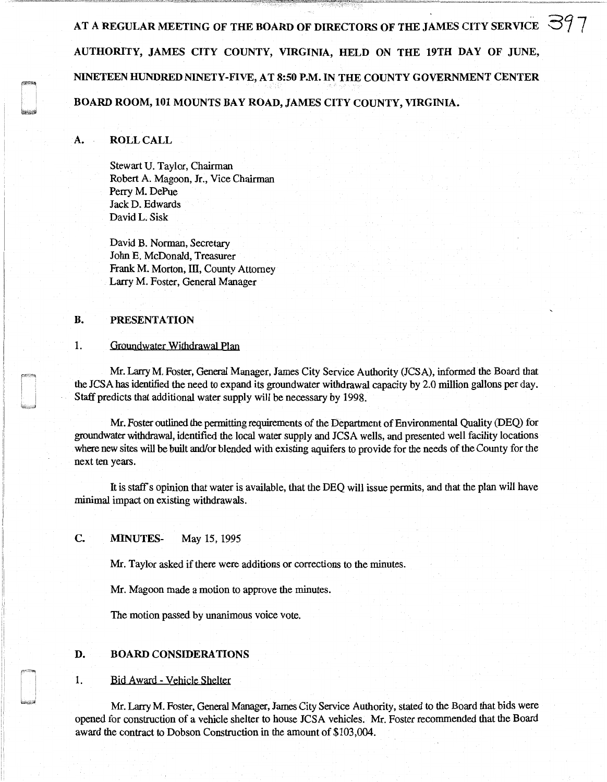AT A REGULAR MEETING OF THE BOARD OF DIRECTORS OF THE JAMES CITY SERVICE  $\approx$  397 AUTHORITY, JAMES CITY COUNTY, VIRGINIA, HELD ON THE 19TH DAY OF JUNE, NINETEEN HUNDRED NINETY-FIVE, AT 8:50 P.M. IN THE COUNTY GOVERNMENT CENTER BOARD ROOM, 101 MOUNTS BAY ROAD, JAMES CITY COUNTY, VIRGINIA.

### A. ROLL CALL

Stewart U. Taylor, Chairman Robert A. Magoon, Jr., Vice Chairman Perry M. DePue Jack D. Edwards David L. Sisk

David B. Norman, Secretary John E. McDonald, Treasurer Frank M. Morton, III, County Attorney Larry M. Foster, General Manager

### B. PRESENTATION

### 1. Groundwater Withdrawal Plan

Mr. Larry M. Foster, General Manager, James City Service Authority (JCSA), informed the Board that the JCSA has identified the need to expand its groundwater withdrawal capacity by 2.0 million gallons per day. Staff predicts that additional water supply will be necessary by 1998.

Mr. Foster outlined the permitting requirements of the Department of Environmental Quality (DEQ) for groundwater withdrawal, identified the local water supply and JCSA wells, and presented well facility locations where new sites will be built and/or blended with existing aquifers to provide for the needs of the County for the next ten years.

It is staff's opinion that water is available, that the DEQ will issue permits, and that the plan will have minimal impact on existing withdrawals.

## C. MINUTES- May 15, 1995

Mr. Taylor asked if there were additions or corrections to the minutes.

Mr. Magoon made a motion to approve the minutes.

The motion passed by unanimous voice vote.

# D. BOARD CONSIDERATIONS

### 1. Bid Award - Vehicle Shelter

Mr. Larry M. Foster, General Manager, James City Service Authority, stated to the Board that bids were opened for construction of a vehicle shelter to house JCSA vehicles. Mr. Foster recommended that the Board award the contract to Dobson Construction in the amount of \$103,004.